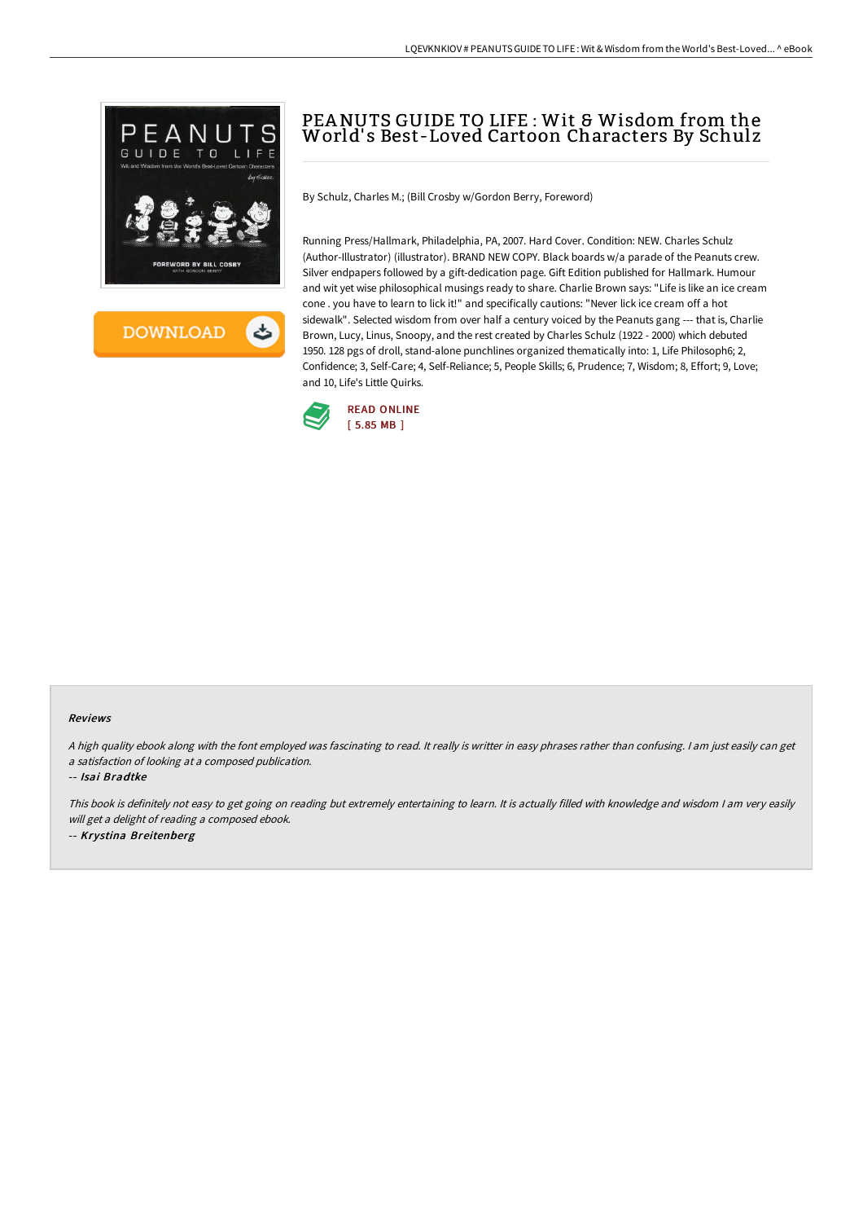

**DOWNLOAD** ٹ

# PEANUTS GUIDE TO LIFE : Wit & Wisdom from the World' s Best-Loved Cartoon Characters By Schulz

By Schulz, Charles M.; (Bill Crosby w/Gordon Berry, Foreword)

Running Press/Hallmark, Philadelphia, PA, 2007. Hard Cover. Condition: NEW. Charles Schulz (Author-Illustrator) (illustrator). BRAND NEW COPY. Black boards w/a parade of the Peanuts crew. Silver endpapers followed by a gift-dedication page. Gift Edition published for Hallmark. Humour and wit yet wise philosophical musings ready to share. Charlie Brown says: "Life is like an ice cream cone . you have to learn to lick it!" and specifically cautions: "Never lick ice cream off a hot sidewalk". Selected wisdom from over half a century voiced by the Peanuts gang --- that is, Charlie Brown, Lucy, Linus, Snoopy, and the rest created by Charles Schulz (1922 - 2000) which debuted 1950. 128 pgs of droll, stand-alone punchlines organized thematically into: 1, Life Philosoph6; 2, Confidence; 3, Self-Care; 4, Self-Reliance; 5, People Skills; 6, Prudence; 7, Wisdom; 8, Effort; 9, Love; and 10, Life's Little Quirks.



#### Reviews

<sup>A</sup> high quality ebook along with the font employed was fascinating to read. It really is writter in easy phrases rather than confusing. <sup>I</sup> am just easily can get <sup>a</sup> satisfaction of looking at <sup>a</sup> composed publication.

-- Isai Bradtke

This book is definitely not easy to get going on reading but extremely entertaining to learn. It is actually filled with knowledge and wisdom <sup>I</sup> am very easily will get <sup>a</sup> delight of reading <sup>a</sup> composed ebook. -- Krystina Breitenberg